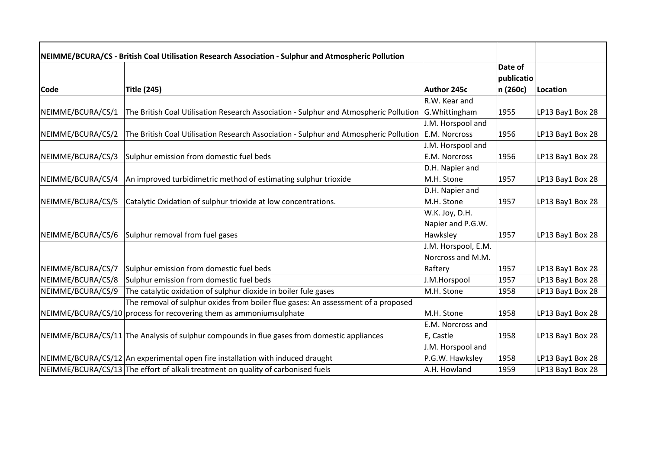| NEIMME/BCURA/CS - British Coal Utilisation Research Association - Sulphur and Atmospheric Pollution |                                                                                                        |                     |                       |                  |
|-----------------------------------------------------------------------------------------------------|--------------------------------------------------------------------------------------------------------|---------------------|-----------------------|------------------|
|                                                                                                     |                                                                                                        |                     | Date of<br>publicatio |                  |
| Code                                                                                                | Title (245)                                                                                            | <b>Author 245c</b>  | n (260c)              | Location         |
|                                                                                                     |                                                                                                        | R.W. Kear and       |                       |                  |
| NEIMME/BCURA/CS/1                                                                                   | The British Coal Utilisation Research Association - Sulphur and Atmospheric Pollution                  | G. Whittingham      | 1955                  | LP13 Bay1 Box 28 |
|                                                                                                     |                                                                                                        | J.M. Horspool and   |                       |                  |
| NEIMME/BCURA/CS/2                                                                                   | The British Coal Utilisation Research Association - Sulphur and Atmospheric Pollution $ E.M.$ Norcross |                     | 1956                  | LP13 Bay1 Box 28 |
|                                                                                                     |                                                                                                        | J.M. Horspool and   |                       |                  |
| NEIMME/BCURA/CS/3                                                                                   | Sulphur emission from domestic fuel beds                                                               | E.M. Norcross       | 1956                  | LP13 Bay1 Box 28 |
|                                                                                                     |                                                                                                        | D.H. Napier and     |                       |                  |
| NEIMME/BCURA/CS/4                                                                                   | An improved turbidimetric method of estimating sulphur trioxide                                        | M.H. Stone          | 1957                  | LP13 Bay1 Box 28 |
|                                                                                                     |                                                                                                        | D.H. Napier and     |                       |                  |
| NEIMME/BCURA/CS/5                                                                                   | Catalytic Oxidation of sulphur trioxide at low concentrations.                                         | M.H. Stone          | 1957                  | LP13 Bay1 Box 28 |
|                                                                                                     |                                                                                                        | W.K. Joy, D.H.      |                       |                  |
|                                                                                                     |                                                                                                        | Napier and P.G.W.   |                       |                  |
| NEIMME/BCURA/CS/6                                                                                   | Sulphur removal from fuel gases                                                                        | Hawksley            | 1957                  | LP13 Bay1 Box 28 |
|                                                                                                     |                                                                                                        | J.M. Horspool, E.M. |                       |                  |
|                                                                                                     |                                                                                                        | Norcross and M.M.   |                       |                  |
| NEIMME/BCURA/CS/7                                                                                   | Sulphur emission from domestic fuel beds                                                               | Raftery             | 1957                  | LP13 Bay1 Box 28 |
| NEIMME/BCURA/CS/8                                                                                   | Sulphur emission from domestic fuel beds                                                               | J.M.Horspool        | 1957                  | LP13 Bay1 Box 28 |
| NEIMME/BCURA/CS/9                                                                                   | The catalytic oxidation of sulphur dioxide in boiler fule gases                                        | M.H. Stone          | 1958                  | LP13 Bay1 Box 28 |
|                                                                                                     | The removal of sulphur oxides from boiler flue gases: An assessment of a proposed                      |                     |                       |                  |
|                                                                                                     | NEIMME/BCURA/CS/10 process for recovering them as ammoniumsulphate                                     | M.H. Stone          | 1958                  | LP13 Bay1 Box 28 |
|                                                                                                     |                                                                                                        | E.M. Norcross and   |                       |                  |
|                                                                                                     | NEIMME/BCURA/CS/11 The Analysis of sulphur compounds in flue gases from domestic appliances            | E, Castle           | 1958                  | LP13 Bay1 Box 28 |
|                                                                                                     |                                                                                                        | J.M. Horspool and   |                       |                  |
|                                                                                                     | NEIMME/BCURA/CS/12 An experimental open fire installation with induced draught                         | P.G.W. Hawksley     | 1958                  | LP13 Bay1 Box 28 |
|                                                                                                     | NEIMME/BCURA/CS/13 The effort of alkali treatment on quality of carbonised fuels                       | A.H. Howland        | 1959                  | LP13 Bay1 Box 28 |